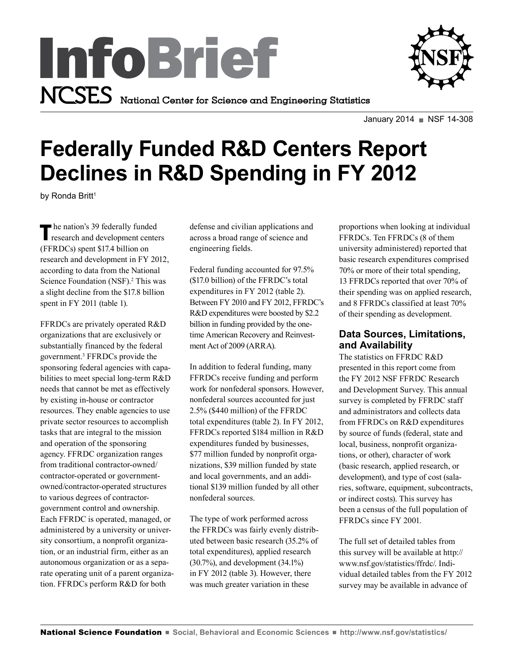



January 2014 NSF 14-308

# **Federally Funded R&D Centers Report Declines in R&D Spending in FY 2012**

by Ronda Britt<sup>1</sup>

The nation's 39 federally funded<br>research and development centers (FFRDCs) spent \$17.4 billion on research and development in FY 2012, according to data from the National Science Foundation (NSF).<sup>2</sup> This was a slight decline from the \$17.8 billion spent in FY 2011 (table 1).

FFRDCs are privately operated R&D organizations that are exclusively or substantially financed by the federal government.3 FFRDCs provide the sponsoring federal agencies with capabilities to meet special long-term R&D needs that cannot be met as effectively by existing in-house or contractor resources. They enable agencies to use private sector resources to accomplish tasks that are integral to the mission and operation of the sponsoring agency. FFRDC organization ranges from traditional contractor-owned/ contractor-operated or governmentowned/contractor-operated structures to various degrees of contractorgovernment control and ownership. Each FFRDC is operated, managed, or administered by a university or university consortium, a nonprofit organization, or an industrial firm, either as an autonomous organization or as a separate operating unit of a parent organization. FFRDCs perform R&D for both

defense and civilian applications and across a broad range of science and engineering fields.

Federal funding accounted for 97.5% (\$17.0 billion) of the FFRDC's total expenditures in FY 2012 (table 2). Between FY 2010 and FY 2012, FFRDC's R&D expenditures were boosted by \$2.2 billion in funding provided by the onetime American Recovery and Reinvestment Act of 2009 (ARRA).

In addition to federal funding, many FFRDCs receive funding and perform work for nonfederal sponsors. However, nonfederal sources accounted for just 2.5% (\$440 million) of the FFRDC total expenditures (table 2). In FY 2012, FFRDCs reported \$184 million in R&D expenditures funded by businesses, \$77 million funded by nonprofit organizations, \$39 million funded by state and local governments, and an additional \$139 million funded by all other nonfederal sources.

The type of work performed across the FFRDCs was fairly evenly distributed between basic research (35.2% of total expenditures), applied research (30.7%), and development (34.1%) in FY 2012 (table 3). However, there was much greater variation in these

proportions when looking at individual FFRDCs. Ten FFRDCs (8 of them university administered) reported that basic research expenditures comprised 70% or more of their total spending, 13 FFRDCs reported that over 70% of their spending was on applied research, and 8 FFRDCs classified at least 70% of their spending as development.

## **Data Sources, Limitations, and Availability**

The statistics on FFRDC R&D presented in this report come from the FY 2012 NSF FFRDC Research and Development Survey. This annual survey is completed by FFRDC staff and administrators and collects data from FFRDCs on R&D expenditures by source of funds (federal, state and local, business, nonprofit organizations, or other), character of work (basic research, applied research, or development), and type of cost (salaries, software, equipment, subcontracts, or indirect costs). This survey has been a census of the full population of FFRDCs since FY 2001.

The full set of detailed tables from this survey will be available at http:// www.nsf.gov/statistics/ffrdc/. Individual detailed tables from the FY 2012 survey may be available in advance of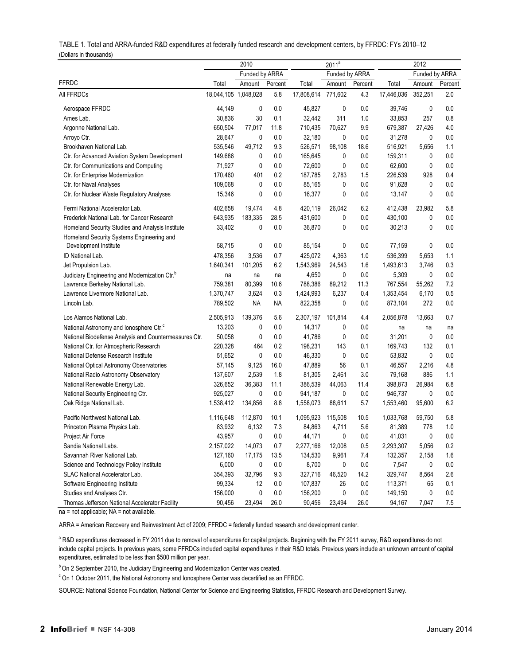|                                                           | 2010                 |              | 2011 <sup>a</sup><br>Funded by ARRA |            |         | 2012           |            |              |         |
|-----------------------------------------------------------|----------------------|--------------|-------------------------------------|------------|---------|----------------|------------|--------------|---------|
|                                                           | Funded by ARRA       |              |                                     |            |         | Funded by ARRA |            |              |         |
| <b>FFRDC</b>                                              | Total                | Amount       | Percent                             | Total      | Amount  | Percent        | Total      | Amount       | Percent |
| All FFRDCs                                                | 18,044,105 1,048,028 |              | 5.8                                 | 17,808,614 | 771,602 | 4.3            | 17,446,036 | 352,251      | 2.0     |
| Aerospace FFRDC                                           | 44,149               | $\mathbf 0$  | 0.0                                 | 45,827     | 0       | 0.0            | 39,746     | 0            | 0.0     |
| Ames Lab.                                                 | 30,836               | 30           | 0.1                                 | 32,442     | 311     | 1.0            | 33,853     | 257          | 0.8     |
| Argonne National Lab.                                     | 650,504              | 77,017       | 11.8                                | 710,435    | 70,627  | 9.9            | 679,387    | 27,426       | 4.0     |
| Arroyo Ctr.                                               | 28,647               | $\mathbf{0}$ | 0.0                                 | 32,180     | 0       | 0.0            | 31,278     | $\mathbf{0}$ | 0.0     |
| Brookhaven National Lab.                                  | 535,546              | 49,712       | 9.3                                 | 526,571    | 98,108  | 18.6           | 516,921    | 5,656        | 1.1     |
| Ctr. for Advanced Aviation System Development             | 149,686              | $\pmb{0}$    | 0.0                                 | 165,645    | 0       | 0.0            | 159,311    | $\mathbf 0$  | 0.0     |
| Ctr. for Communications and Computing                     | 71,927               | $\mathbf 0$  | 0.0                                 | 72,600     | 0       | 0.0            | 62,600     | $\mathbf 0$  | 0.0     |
| Ctr. for Enterprise Modernization                         | 170,460              | 401          | 0.2                                 | 187,785    | 2,783   | 1.5            | 226,539    | 928          | 0.4     |
| Ctr. for Naval Analyses                                   | 109,068              | 0            | 0.0                                 | 85,165     | 0       | 0.0            | 91,628     | $\mathbf{0}$ | 0.0     |
| Ctr. for Nuclear Waste Regulatory Analyses                | 15,346               | $\mathbf{0}$ | 0.0                                 | 16,377     | 0       | 0.0            | 13,147     | $\mathbf{0}$ | 0.0     |
| Fermi National Accelerator Lab.                           | 402.658              | 19.474       | 4.8                                 | 420,119    | 26.042  | 6.2            | 412,438    | 23,982       | 5.8     |
| Frederick National Lab. for Cancer Research               | 643,935              | 183,335      | 28.5                                | 431,600    | 0       | 0.0            | 430,100    | $\mathbf 0$  | 0.0     |
| Homeland Security Studies and Analysis Institute          | 33,402               | 0            | 0.0                                 | 36,870     | 0       | 0.0            | 30,213     | $\mathbf{0}$ | 0.0     |
| Homeland Security Systems Engineering and                 |                      |              |                                     |            |         |                |            |              |         |
| Development Institute                                     | 58,715               | $\mathbf 0$  | 0.0                                 | 85,154     | 0       | 0.0            | 77,159     | $\mathbf 0$  | 0.0     |
| ID National Lab.                                          | 478,356              | 3,536        | 0.7                                 | 425,072    | 4,363   | 1.0            | 536,399    | 5,653        | 1.1     |
| Jet Propulsion Lab.                                       | 1,640,341            | 101,205      | 6.2                                 | 1,543,969  | 24,543  | 1.6            | 1,493,613  | 3,746        | 0.3     |
| Judiciary Engineering and Modernization Ctr. <sup>b</sup> | na                   | na           | na                                  | 4,650      | 0       | 0.0            | 5,309      | 0            | 0.0     |
| Lawrence Berkeley National Lab.                           | 759,381              | 80,399       | 10.6                                | 788,386    | 89,212  | 11.3           | 767,554    | 55,262       | 7.2     |
| Lawrence Livermore National Lab.                          | 1,370,747            | 3,624        | 0.3                                 | 1,424,993  | 6,237   | 0.4            | 1,353,454  | 6,170        | 0.5     |
| Lincoln Lab.                                              | 789,502              | <b>NA</b>    | <b>NA</b>                           | 822,358    | 0       | 0.0            | 873,104    | 272          | 0.0     |
| Los Alamos National Lab.                                  | 2,505,913            | 139,376      | 5.6                                 | 2,307,197  | 101,814 | 4.4            | 2,056,878  | 13,663       | 0.7     |
| National Astronomy and lonosphere Ctr. <sup>c</sup>       | 13,203               | 0            | 0.0                                 | 14,317     | 0       | 0.0            | na         | na           | na      |
| National Biodefense Analysis and Countermeasures Ctr.     | 50,058               | $\mathbf 0$  | 0.0                                 | 41,786     | 0       | 0.0            | 31,201     | $\mathbf 0$  | 0.0     |
| National Ctr. for Atmospheric Research                    | 220,328              | 464          | 0.2                                 | 198,231    | 143     | 0.1            | 169,743    | 132          | 0.1     |
| National Defense Research Institute                       | 51,652               | $\mathbf 0$  | 0.0                                 | 46,330     | 0       | 0.0            | 53,832     | $\mathbf{0}$ | 0.0     |
| National Optical Astronomy Observatories                  | 57,145               | 9,125        | 16.0                                | 47,889     | 56      | 0.1            | 46,557     | 2,216        | 4.8     |
| National Radio Astronomy Observatory                      | 137,607              | 2,539        | 1.8                                 | 81,305     | 2,461   | 3.0            | 79,168     | 886          | 1.1     |
| National Renewable Energy Lab.                            | 326,652              | 36,383       | 11.1                                | 386,539    | 44,063  | 11.4           | 398,873    | 26,984       | 6.8     |
| National Security Engineering Ctr.                        | 925,027              | $\mathbf 0$  | 0.0                                 | 941,187    | 0       | 0.0            | 946,737    | $\mathbf 0$  | 0.0     |
| Oak Ridge National Lab.                                   | 1,538,412            | 134,856      | 8.8                                 | 1,558,073  | 88,611  | 5.7            | 1,553,460  | 95,600       | 6.2     |
| Pacific Northwest National Lab.                           | 1,116,648            | 112,870      | 10.1                                | 1,095,923  | 115,508 | 10.5           | 1,033,768  | 59,750       | 5.8     |
| Princeton Plasma Physics Lab.                             | 83,932               | 6,132        | 7.3                                 | 84,863     | 4,711   | 5.6            | 81,389     | 778          | 1.0     |
| Project Air Force                                         | 43,957               | 0            | 0.0                                 | 44,171     | 0       | 0.0            | 41,031     | $\mathbf{0}$ | 0.0     |
| Sandia National Labs.                                     | 2,157,022            | 14,073       | 0.7                                 | 2,277,166  | 12,008  | 0.5            | 2,293,307  | 5,056        | 0.2     |
| Savannah River National Lab.                              | 127,160              | 17,175       | 13.5                                | 134,530    | 9,961   | 7.4            | 132,357    | 2,158        | 1.6     |
| Science and Technology Policy Institute                   | 6,000                | 0            | 0.0                                 | 8,700      | 0       | 0.0            | 7,547      | 0            | 0.0     |
| <b>SLAC National Accelerator Lab.</b>                     | 354,393              | 32,796       | 9.3                                 | 327,716    | 46,520  | 14.2           | 329,747    | 8,564        | 2.6     |
| Software Engineering Institute                            | 99,334               | 12           | 0.0                                 | 107,837    | 26      | 0.0            | 113,371    | 65           | 0.1     |

| TABLE 1. Total and ARRA-funded R&D expenditures at federally funded research and development centers, by FFRDC: FYs 2010–12 |
|-----------------------------------------------------------------------------------------------------------------------------|
| (Dollars in thousands)                                                                                                      |

na = not applicable; NA = not available.

ARRA = American Recovery and Reinvestment Act of 2009; FFRDC = federally funded research and development center.

<sup>a</sup> R&D expenditures decreased in FY 2011 due to removal of expenditures for capital projects. Beginning with the FY 2011 survey, R&D expenditures do not include capital projects. In previous years, some FFRDCs included capital expenditures in their R&D totals. Previous years include an unknown amount of capital expenditures, estimated to be less than \$500 million per year.

Studies and Analyses Ctr. 2000 156,000 0 0.0 156,200 0 0.0 149,150 0 0.0 Thomas Jefferson National Accelerator Facility 90,456 23,494 26.0 90,456 23,494 26.0 94,167 7,047 7.5

<sup>b</sup> On 2 September 2010, the Judiciary Engineering and Modernization Center was created.

 $\textdegree$  On 1 October 2011, the National Astronomy and lonosphere Center was decertified as an FFRDC.

SOURCE: National Science Foundation, National Center for Science and Engineering Statistics, FFRDC Research and Development Survey.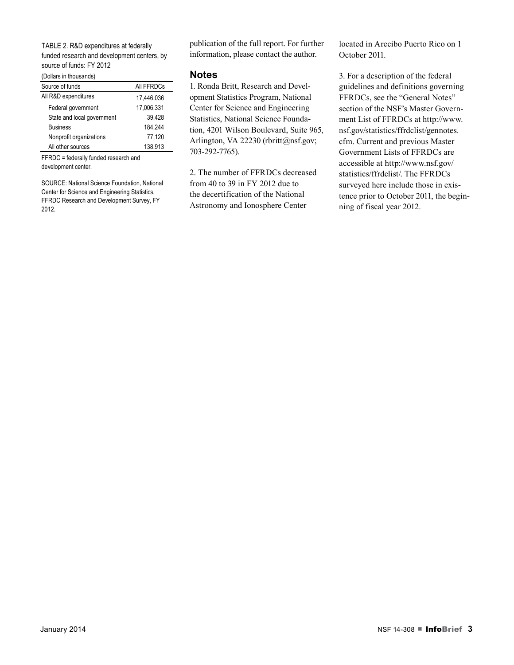#### TABLE 2. R&D expenditures at federally funded research and development centers, by source of funds: FY 2012

(Dollars in thousands)

| <u>5011a10 111 a10a0a11a07</u> |            |  |  |  |
|--------------------------------|------------|--|--|--|
| Source of funds                | All FFRDCs |  |  |  |
| All R&D expenditures           | 17,446,036 |  |  |  |
| Federal government             | 17,006,331 |  |  |  |
| State and local government     | 39.428     |  |  |  |
| <b>Business</b>                | 184.244    |  |  |  |
| Nonprofit organizations        | 77.120     |  |  |  |
| All other sources              | 138.913    |  |  |  |

FFRDC = federally funded research and development center.

SOURCE: National Science Foundation, National Center for Science and Engineering Statistics, FFRDC Research and Development Survey, FY 2012.

publication of the full report. For further information, please contact the author.

### **Notes**

1. Ronda Britt, Research and Development Statistics Program, National Center for Science and Engineering Statistics, National Science Foundation, 4201 Wilson Boulevard, Suite 965, Arlington, VA 22230 (rbritt@nsf.gov; 703-292-7765).

2. The number of FFRDCs decreased from 40 to 39 in FY 2012 due to the decertification of the National Astronomy and Ionosphere Center

located in Arecibo Puerto Rico on 1 October 2011.

3. For a description of the federal guidelines and definitions governing FFRDCs, see the "General Notes" section of the NSF's Master Government List of FFRDCs at http://www. nsf.gov/statistics/ffrdclist/gennotes. cfm. Current and previous Master Government Lists of FFRDCs are accessible at http://www.nsf.gov/ statistics/ffrdclist/. The FFRDCs surveyed here include those in existence prior to October 2011, the beginning of fiscal year 2012.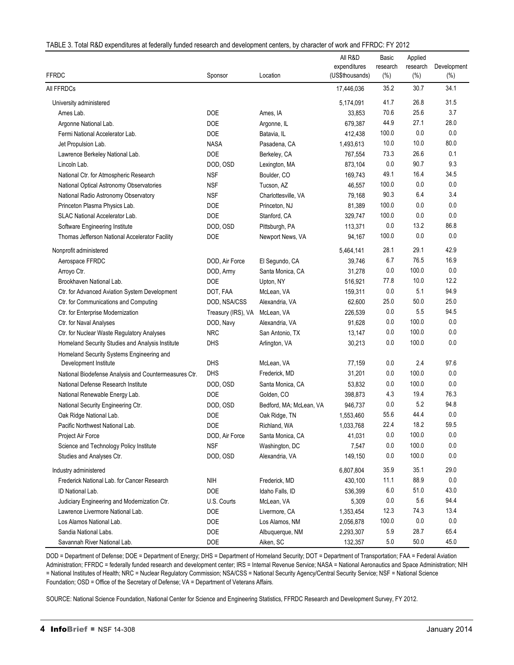|                                                       |                    |                         | All R&D                         | Basic<br>research<br>$(\%)$ | Applied            |                    |
|-------------------------------------------------------|--------------------|-------------------------|---------------------------------|-----------------------------|--------------------|--------------------|
| <b>FFRDC</b>                                          | Sponsor            | Location                | expenditures<br>(US\$thousands) |                             | research<br>$(\%)$ | Development<br>(%) |
| All FFRDCs                                            |                    |                         | 17,446,036                      | 35.2                        | 30.7               | 34.1               |
| University administered                               |                    |                         | 5,174,091                       | 41.7                        | 26.8               | 31.5               |
| Ames Lab.                                             | <b>DOE</b>         | Ames, IA                | 33,853                          | 70.6                        | 25.6               | 3.7                |
| Argonne National Lab.                                 | <b>DOE</b>         | Argonne, IL             | 679,387                         | 44.9                        | 27.1               | 28.0               |
| Fermi National Accelerator Lab.                       | <b>DOE</b>         | Batavia, IL             | 412,438                         | 100.0                       | 0.0                | 0.0                |
| Jet Propulsion Lab.                                   | <b>NASA</b>        | Pasadena, CA            | 1,493,613                       | 10.0                        | 10.0               | 80.0               |
| Lawrence Berkeley National Lab.                       | <b>DOE</b>         | Berkeley, CA            | 767,554                         | 73.3                        | 26.6               | 0.1                |
| Lincoln Lab.                                          | DOD, OSD           | Lexington, MA           | 873,104                         | 0.0                         | 90.7               | 9.3                |
| National Ctr. for Atmospheric Research                | <b>NSF</b>         | Boulder, CO             | 169,743                         | 49.1                        | 16.4               | 34.5               |
| National Optical Astronomy Observatories              | <b>NSF</b>         | Tucson, AZ              | 46,557                          | 100.0                       | 0.0                | 0.0                |
| National Radio Astronomy Observatory                  | <b>NSF</b>         | Charlottesville, VA     | 79,168                          | 90.3                        | 6.4                | 3.4                |
| Princeton Plasma Physics Lab.                         | <b>DOE</b>         | Princeton, NJ           | 81,389                          | 100.0                       | 0.0                | 0.0                |
| SLAC National Accelerator Lab.                        | <b>DOE</b>         | Stanford, CA            | 329,747                         | 100.0                       | 0.0                | 0.0                |
| Software Engineering Institute                        | DOD, OSD           | Pittsburgh, PA          | 113,371                         | 0.0                         | 13.2               | 86.8               |
| Thomas Jefferson National Accelerator Facility        | <b>DOE</b>         | Newport News, VA        | 94,167                          | 100.0                       | 0.0                | 0.0                |
| Nonprofit administered                                |                    |                         | 5,464,141                       | 28.1                        | 29.1               | 42.9               |
| Aerospace FFRDC                                       | DOD, Air Force     | El Segundo, CA          | 39,746                          | 6.7                         | 76.5               | 16.9               |
| Arroyo Ctr.                                           | DOD, Army          | Santa Monica, CA        | 31,278                          | 0.0                         | 100.0              | 0.0                |
| Brookhaven National Lab.                              | <b>DOE</b>         | Upton, NY               | 516,921                         | 77.8                        | 10.0               | 12.2               |
| Ctr. for Advanced Aviation System Development         | DOT, FAA           | McLean, VA              | 159,311                         | 0.0                         | 5.1                | 94.9               |
| Ctr. for Communications and Computing                 | DOD, NSA/CSS       | Alexandria, VA          | 62,600                          | 25.0                        | 50.0               | 25.0               |
| Ctr. for Enterprise Modernization                     | Treasury (IRS), VA | McLean, VA              | 226,539                         | 0.0                         | 5.5                | 94.5               |
| Ctr. for Naval Analyses                               | DOD, Navy          | Alexandria, VA          | 91,628                          | 0.0                         | 100.0              | 0.0                |
| Ctr. for Nuclear Waste Regulatory Analyses            | <b>NRC</b>         | San Antonio, TX         | 13,147                          | 0.0                         | 100.0              | 0.0                |
| Homeland Security Studies and Analysis Institute      | <b>DHS</b>         | Arlington, VA           | 30,213                          | 0.0                         | 100.0              | 0.0                |
| Homeland Security Systems Engineering and             |                    |                         |                                 |                             |                    |                    |
| Development Institute                                 | <b>DHS</b>         | McLean, VA              | 77,159                          | 0.0                         | 2.4                | 97.6               |
| National Biodefense Analysis and Countermeasures Ctr. | <b>DHS</b>         | Frederick, MD           | 31,201                          | 0.0                         | 100.0              | 0.0                |
| National Defense Research Institute                   | DOD, OSD           | Santa Monica, CA        | 53,832                          | 0.0                         | 100.0              | 0.0                |
| National Renewable Energy Lab.                        | <b>DOE</b>         | Golden, CO              | 398,873                         | 4.3                         | 19.4               | 76.3               |
| National Security Engineering Ctr.                    | DOD, OSD           | Bedford, MA; McLean, VA | 946,737                         | 0.0                         | 5.2                | 94.8               |
| Oak Ridge National Lab.                               | <b>DOE</b>         | Oak Ridge, TN           | 1,553,460                       | 55.6                        | 44.4               | 0.0                |
| Pacific Northwest National Lab.                       | <b>DOE</b>         | Richland, WA            | 1,033,768                       | 22.4                        | 18.2               | 59.5               |
| Project Air Force                                     | DOD, Air Force     | Santa Monica, CA        | 41,031                          | 0.0                         | 100.0              | 0.0                |
| Science and Technology Policy Institute               | <b>NSF</b>         | Washington, DC          | 7,547                           | 0.0                         | 100.0              | 0.0                |
| Studies and Analyses Ctr.                             | DOD, OSD           | Alexandria, VA          | 149,150                         | 0.0                         | 100.0              | 0.0                |
| Industry administered                                 |                    |                         | 6,807,804                       | 35.9                        | 35.1               | 29.0               |
| Frederick National Lab. for Cancer Research           | <b>NIH</b>         | Frederick, MD           | 430,100                         | 11.1                        | 88.9               | 0.0                |
| ID National Lab.                                      | <b>DOE</b>         | Idaho Falls, ID         | 536,399                         | 6.0                         | 51.0               | 43.0               |
| Judiciary Engineering and Modernization Ctr.          | U.S. Courts        | McLean, VA              | 5,309                           | 0.0                         | 5.6                | 94.4               |
| Lawrence Livermore National Lab.                      | <b>DOE</b>         | Livermore, CA           | 1,353,454                       | 12.3                        | 74.3               | 13.4               |
| Los Alamos National Lab.                              | DOE                | Los Alamos, NM          | 2,056,878                       | 100.0                       | 0.0                | 0.0                |
| Sandia National Labs.                                 | DOE                | Albuquerque, NM         | 2,293,307                       | 5.9                         | 28.7               | 65.4               |
| Savannah River National Lab.                          | DOE                | Aiken, SC               | 132,357                         | 5.0                         | $50.0\,$           | 45.0               |

DOD = Department of Defense; DOE = Department of Energy; DHS = Department of Homeland Security; DOT = Department of Transportation; FAA = Federal Aviation Administration; FFRDC = federally funded research and development center; IRS = Internal Revenue Service; NASA = National Aeronautics and Space Administration; NIH = National Institutes of Health; NRC = Nuclear Regulatory Commission; NSA/CSS = National Security Agency/Central Security Service; NSF = National Science Foundation; OSD = Office of the Secretary of Defense; VA = Department of Veterans Affairs.

SOURCE: National Science Foundation, National Center for Science and Engineering Statistics, FFRDC Research and Development Survey, FY 2012.